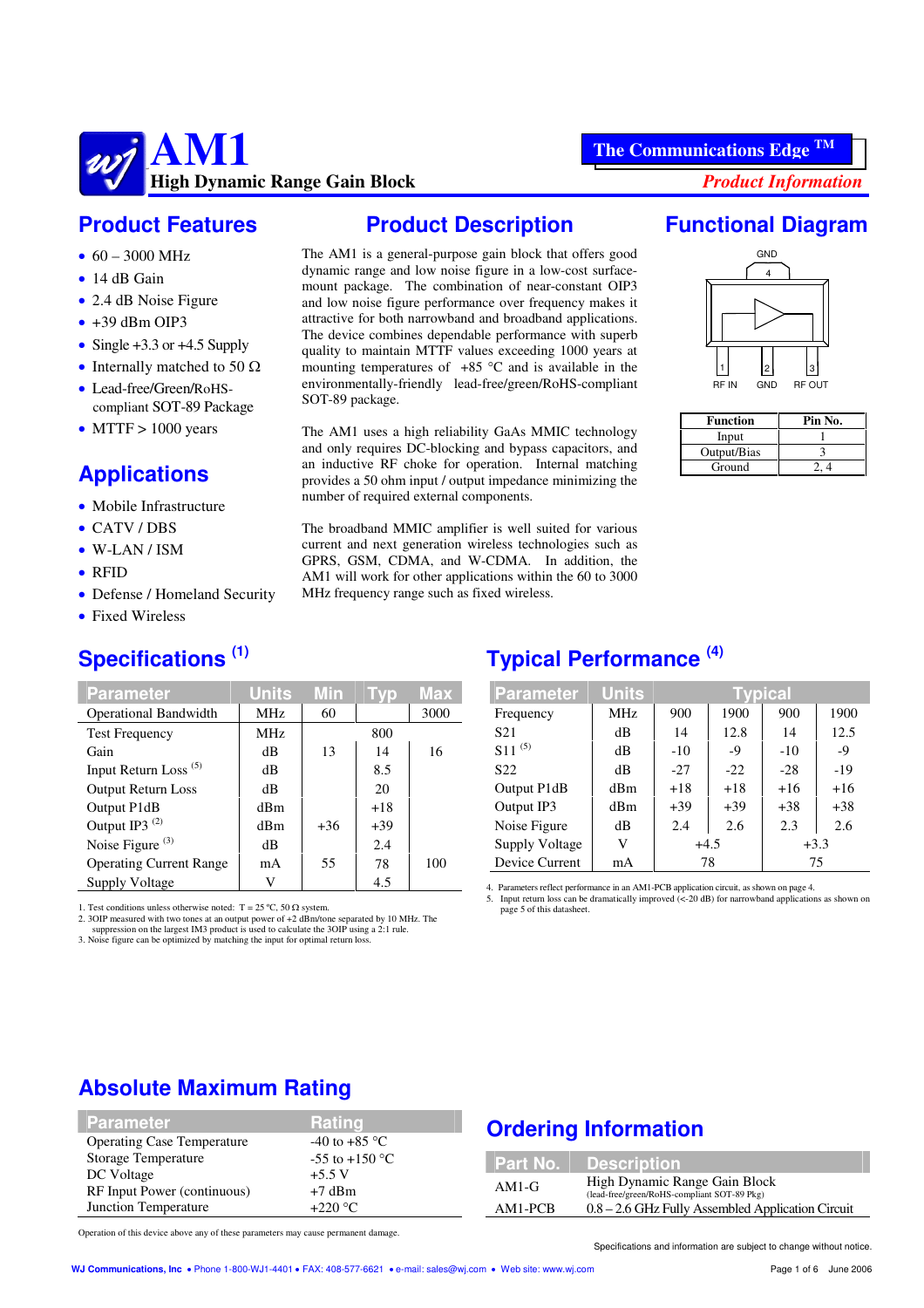#### **Product Features**

- $60 3000 \text{ MHz}$
- $\bullet$  14 dB Gain
- $\bullet$  2.4 dB Noise Figure
- $\bullet$  +39 dBm OIP3
- Single  $+3.3$  or  $+4.5$  Supply
- Internally matched to 50  $\Omega$
- Lead-free/Green/RoHScompliant SOT-89 Package
- $\bullet$  MTTF  $> 1000$  years

### **Applications**

- $\bullet$  Mobile Infrastructure
- CATV/DBS
- $\bullet$  W-LAN/ISM
- $\bullet$  RFID
- Defense / Homeland Security
- Fixed Wireless

#### **Specifications (1)**

| <b>Parameter</b>                 | <b>Units</b> | Min   | l vn  | Max  |
|----------------------------------|--------------|-------|-------|------|
| <b>Operational Bandwidth</b>     | MHz          | 60    |       | 3000 |
| <b>Test Frequency</b>            | MHz          |       | 800   |      |
| Gain                             | dB           | 13    | 14    | 16   |
| Input Return Loss <sup>(5)</sup> | dB           |       | 8.5   |      |
| <b>Output Return Loss</b>        | dB           |       | 20    |      |
| Output P1dB                      | dBm          |       | $+18$ |      |
| Output IP3 <sup>(2)</sup>        | dBm          | $+36$ | $+39$ |      |
| Noise Figure <sup>(3)</sup>      | dB           |       | 2.4   |      |
| <b>Operating Current Range</b>   | mA           | 55    | 78    | 100  |
| Supply Voltage                   | V            |       | 4.5   |      |

1. Test conditions unless otherwise noted:  $T = 25 \degree C$ , 50  $\Omega$  system.

2. 3OIP measured with two tones at an output power of +2 dBm/tone separated by 10 MHz. The suppression on the largest IM3 product is used to calculate the 3OIP using a 2:1 rule.

3. Noise figure can be optimized by matching the input for optimal return loss.

# **Product Description**

The AM1 is a general-purpose gain block that offers good dynamic range and low noise figure in a low-cost surfacemount package. The combination of near-constant OIP3 and low noise figure performance over frequency makes it attractive for both narrowband and broadband applications. The device combines dependable performance with superb quality to maintain MTTF values exceeding 1000 years at mounting temperatures of  $+85$  °C and is available in the environmentally-friendly lead-free/green/RoHS-compliant

The AM1 uses a high reliability GaAs MMIC technology and only requires DC-blocking and bypass capacitors, and an inductive RF choke for operation. Internal matching provides a 50 ohm input / output impedance minimizing the

The broadband MMIC amplifier is well suited for various current and next generation wireless technologies such as GPRS, GSM, CDMA, and W-CDMA. In addition, the AM1 will work for other applications within the 60 to 3000

number of required external components.

MHz frequency range such as fixed wireless.

SOT-89 package.

# **Functional Diagram**



| <b>Function</b> | Pin No. |
|-----------------|---------|
| Input           |         |
| Output/Bias     |         |
| Ground          |         |

#### **Typical Performance (4)**

| <b>Parameter</b>      | <b>Units</b> | Typical    |       |        |       |  |
|-----------------------|--------------|------------|-------|--------|-------|--|
| Frequency             | MHz          | 900        | 1900  | 900    | 1900  |  |
| S <sub>21</sub>       | dB           | 12.8<br>14 |       | 14     | 12.5  |  |
| $S11^{(5)}$           | dB           | $-10$      | $-9$  | $-10$  | $-9$  |  |
| S <sub>22</sub>       | dB           | $-27$      | $-22$ | $-28$  | $-19$ |  |
| Output P1dB           | dBm          | $+18$      | $+18$ | $+16$  | $+16$ |  |
| Output IP3            | dBm          | $+39$      | $+39$ | $+38$  | $+38$ |  |
| Noise Figure          | dB           | 2.4        | 2.6   | 2.3    | 2.6   |  |
| <b>Supply Voltage</b> | V            | $+4.5$     |       | $+3.3$ |       |  |
| Device Current        | mA           | 78         |       | 75     |       |  |

4. Parameters reflect performance in an AM1-PCB application circuit, as shown on page 4. 5. Input return loss can be dramatically improved (<-20 dB) for narrowband applications as shown on

page 5 of this datasheet.

#### **Absolute Maximum Rating**

| <b>Parameter</b>                  | <b>\Ratin</b> d\   | <b>Ordering Information</b> |                                                   |  |
|-----------------------------------|--------------------|-----------------------------|---------------------------------------------------|--|
| <b>Operating Case Temperature</b> | $-40$ to $+85$ °C  |                             |                                                   |  |
| <b>Storage Temperature</b>        | $-55$ to $+150$ °C |                             | Part No. Description                              |  |
| DC Voltage                        | $+5.5$ V           | $AM1-G$                     | High Dynamic Range Gain Block                     |  |
| RF Input Power (continuous)       | $+7$ dBm           |                             | (lead-free/green/RoHS-compliant SOT-89 Pkg)       |  |
| Junction Temperature              | $+220$ °C          | $AM1-PCB$                   | 0.8 - 2.6 GHz Fully Assembled Application Circuit |  |

Operation of this device above any of these parameters may cause permanent damage.

Specifications and information are subject to change without notice.

#### **The Communications Edge TM**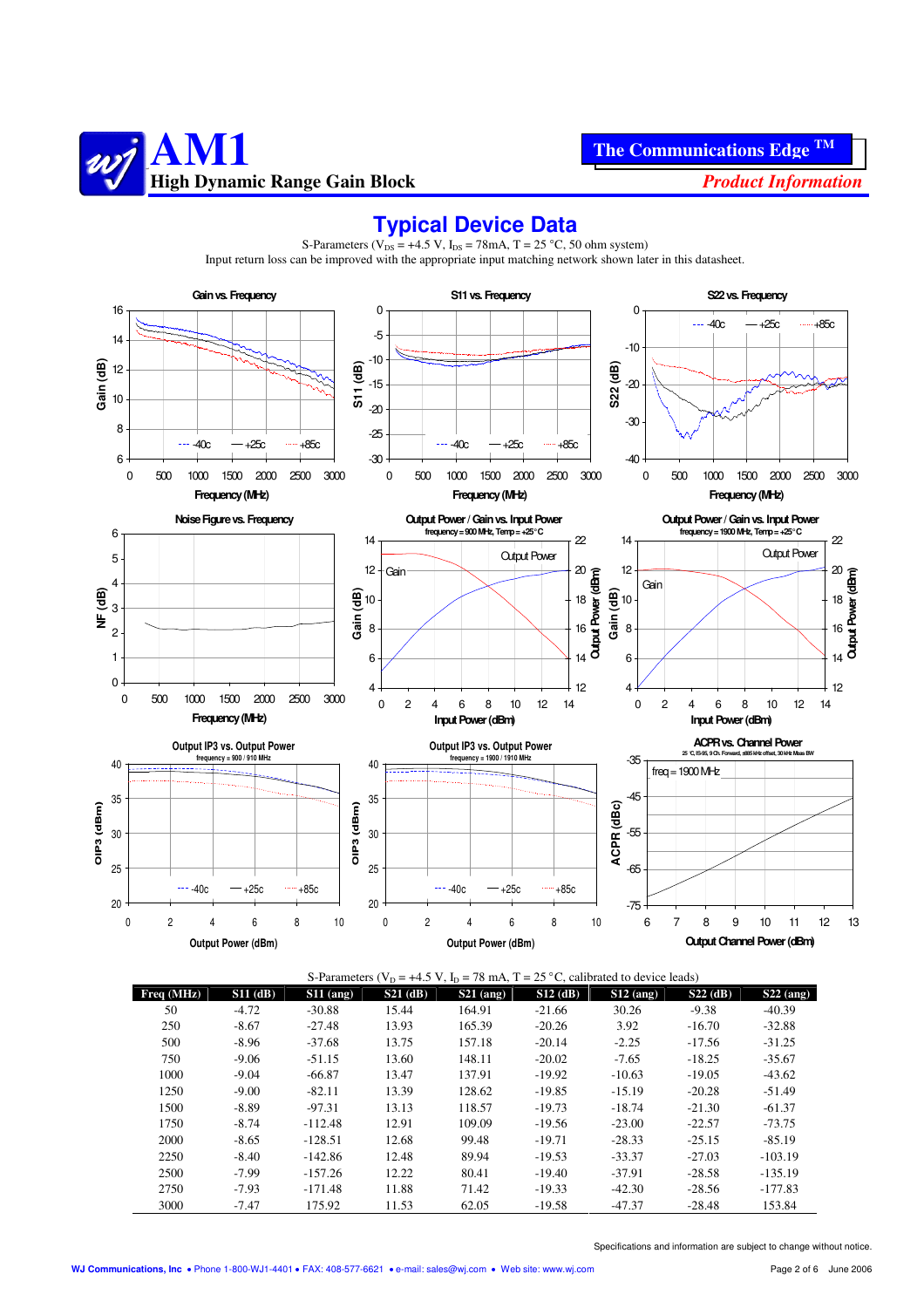



#### **Typical Device Data**

| S-Parameters ( $V_D$ = +4.5 V, $I_D$ = 78 mA, T = 25 °C, calibrated to device leads) |            |             |            |             |            |             |            |             |
|--------------------------------------------------------------------------------------|------------|-------------|------------|-------------|------------|-------------|------------|-------------|
| Freq(MHz)                                                                            | $S11$ (dB) | $S11$ (ang) | $S21$ (dB) | $S21$ (ang) | $S12$ (dB) | $S12$ (ang) | $S22$ (dB) | $S22$ (ang) |
| 50                                                                                   | $-4.72$    | $-30.88$    | 15.44      | 164.91      | $-21.66$   | 30.26       | $-9.38$    | $-40.39$    |
| 250                                                                                  | $-8.67$    | $-27.48$    | 13.93      | 165.39      | $-20.26$   | 3.92        | $-16.70$   | $-32.88$    |
| 500                                                                                  | $-8.96$    | $-37.68$    | 13.75      | 157.18      | $-20.14$   | $-2.25$     | $-17.56$   | $-31.25$    |
| 750                                                                                  | $-9.06$    | $-51.15$    | 13.60      | 148.11      | $-20.02$   | $-7.65$     | $-18.25$   | $-35.67$    |
| 1000                                                                                 | $-9.04$    | $-66.87$    | 13.47      | 137.91      | $-19.92$   | $-10.63$    | $-19.05$   | $-43.62$    |
| 1250                                                                                 | $-9.00$    | $-82.11$    | 13.39      | 128.62      | $-19.85$   | $-15.19$    | $-20.28$   | $-51.49$    |
| 1500                                                                                 | $-8.89$    | $-97.31$    | 13.13      | 118.57      | $-19.73$   | $-18.74$    | $-21.30$   | $-61.37$    |
| 1750                                                                                 | $-8.74$    | $-112.48$   | 12.91      | 109.09      | $-19.56$   | $-23.00$    | $-22.57$   | $-73.75$    |
| 2000                                                                                 | $-8.65$    | $-128.51$   | 12.68      | 99.48       | $-19.71$   | $-28.33$    | $-25.15$   | $-85.19$    |
| 2250                                                                                 | $-8.40$    | $-142.86$   | 12.48      | 89.94       | $-19.53$   | $-33.37$    | $-27.03$   | $-103.19$   |
| 2500                                                                                 | $-7.99$    | $-157.26$   | 12.22      | 80.41       | $-19.40$   | $-37.91$    | $-28.58$   | $-135.19$   |
| 2750                                                                                 | $-7.93$    | $-171.48$   | 11.88      | 71.42       | $-19.33$   | $-42.30$    | $-28.56$   | $-177.83$   |
| 3000                                                                                 | $-7.47$    | 175.92      | 11.53      | 62.05       | $-19.58$   | $-47.37$    | $-28.48$   | 153.84      |

S-Parameters ( $V_{DS}$  = +4.5 V,  $I_{DS}$  = 78mA, T = 25 °C, 50 ohm system) Input return loss can be improved with the appropriate input matching network shown later in this datasheet.

Specifications and information are subject to change without notice.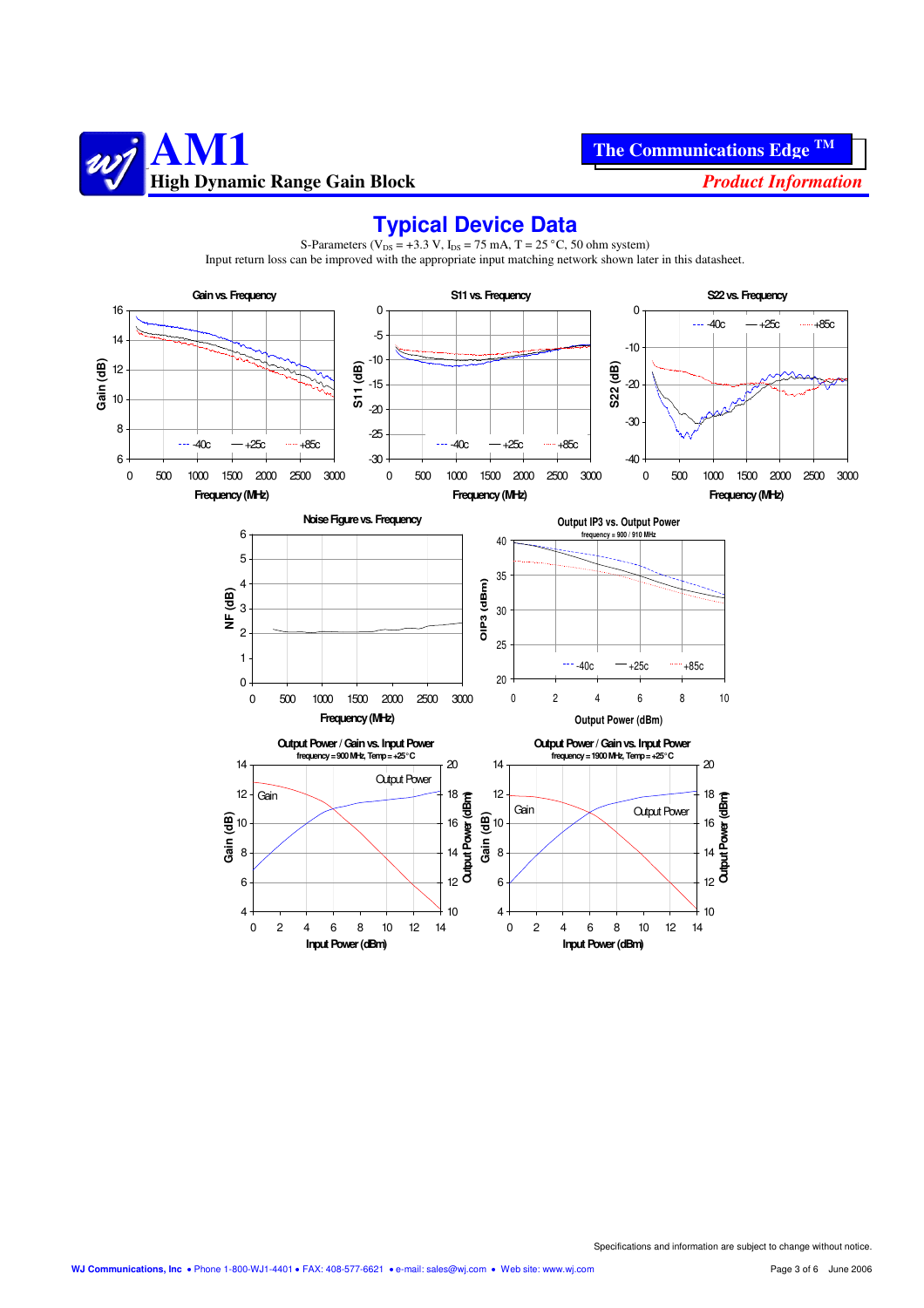![](_page_2_Picture_0.jpeg)

#### **Typical Device Data**

![](_page_2_Figure_4.jpeg)

S-Parameters ( $V_{DS}$  = +3.3 V,  $I_{DS}$  = 75 mA, T = 25 °C, 50 ohm system) Input return loss can be improved with the appropriate input matching network shown later in this datasheet.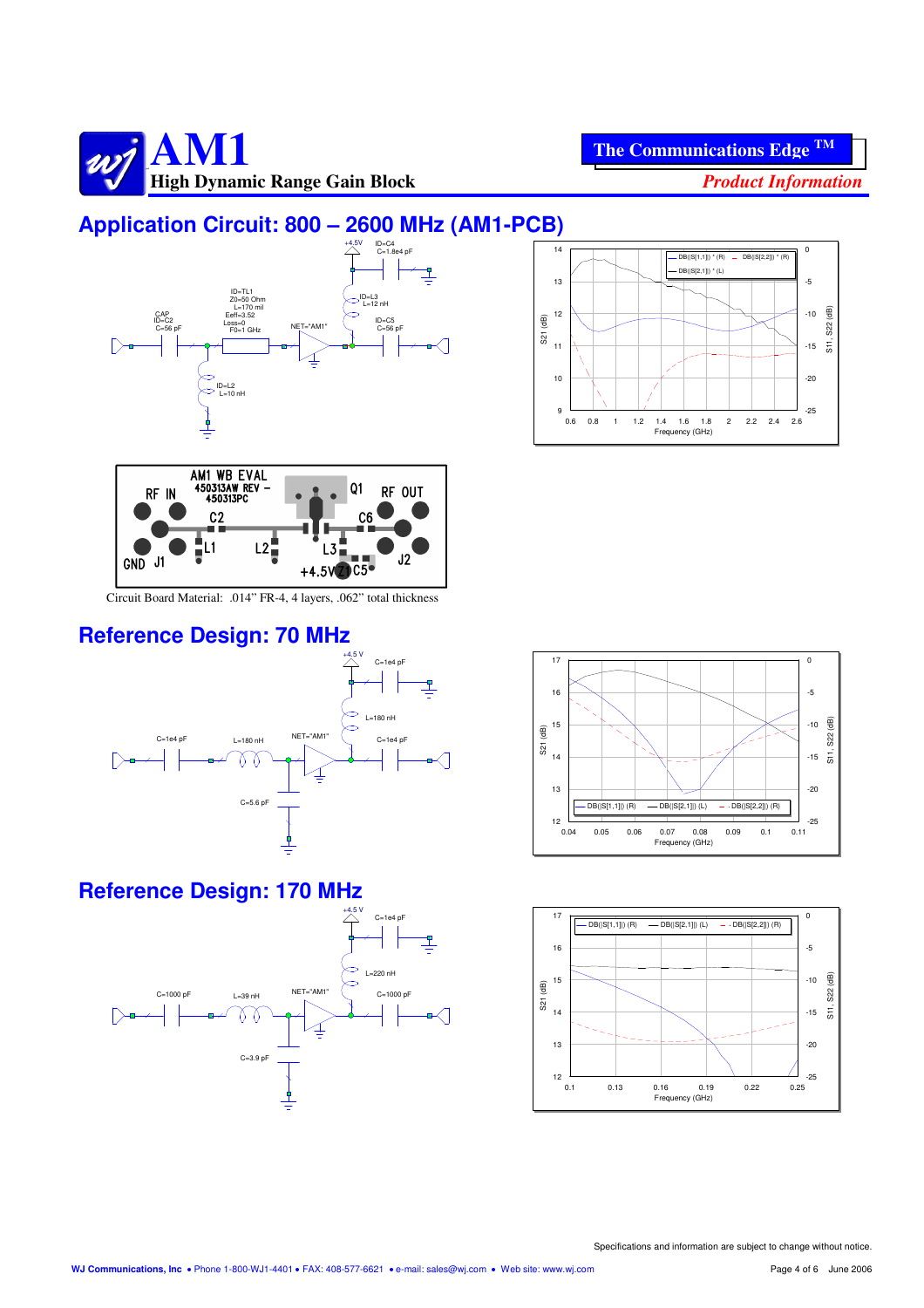![](_page_3_Picture_0.jpeg)

## **Application Circuit: 800 – 2600 MHz (AM1-PCB)**

![](_page_3_Figure_4.jpeg)

![](_page_3_Figure_5.jpeg)

![](_page_3_Figure_6.jpeg)

Circuit Board Material: .014" FR-4, 4 layers, .062" total thickness

#### **Reference Design: 70 MHz**

![](_page_3_Figure_9.jpeg)

#### **Reference Design: 170 MHz**

![](_page_3_Figure_11.jpeg)

![](_page_3_Figure_12.jpeg)

![](_page_3_Figure_13.jpeg)

Specifications and information are subject to change without notice.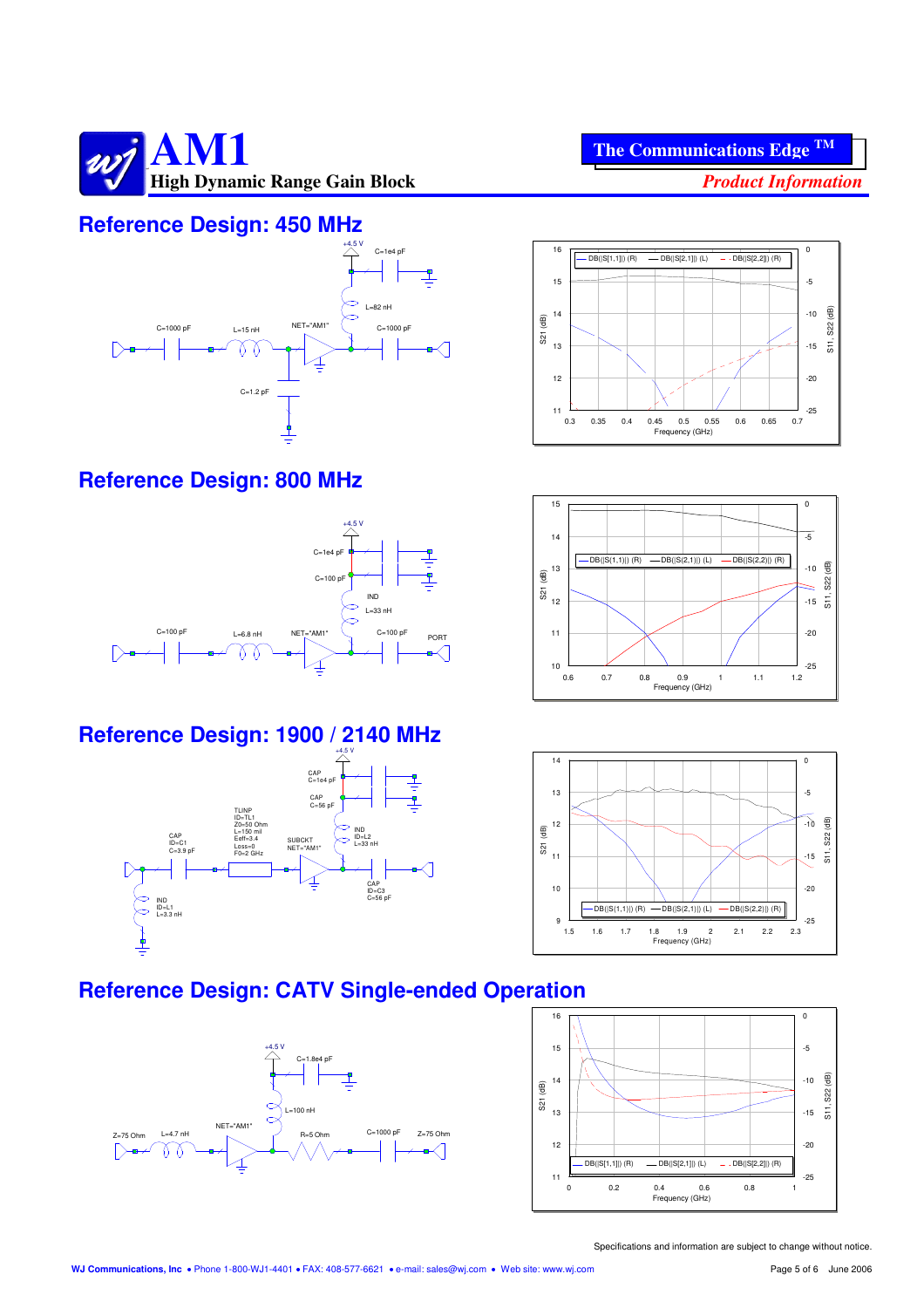![](_page_4_Picture_0.jpeg)

#### **Reference Design: 450 MHz**

![](_page_4_Figure_2.jpeg)

#### **Reference Design: 800 MHz**

![](_page_4_Figure_4.jpeg)

#### **Reference Design: 1900 / 2140 MHz**

![](_page_4_Figure_6.jpeg)

![](_page_4_Figure_7.jpeg)

**The Communications Edge TM**

![](_page_4_Figure_8.jpeg)

![](_page_4_Figure_9.jpeg)

#### **Reference Design: CATV Single-ended Operation**

![](_page_4_Figure_11.jpeg)

![](_page_4_Figure_12.jpeg)

Specifications and information are subject to change without notice.